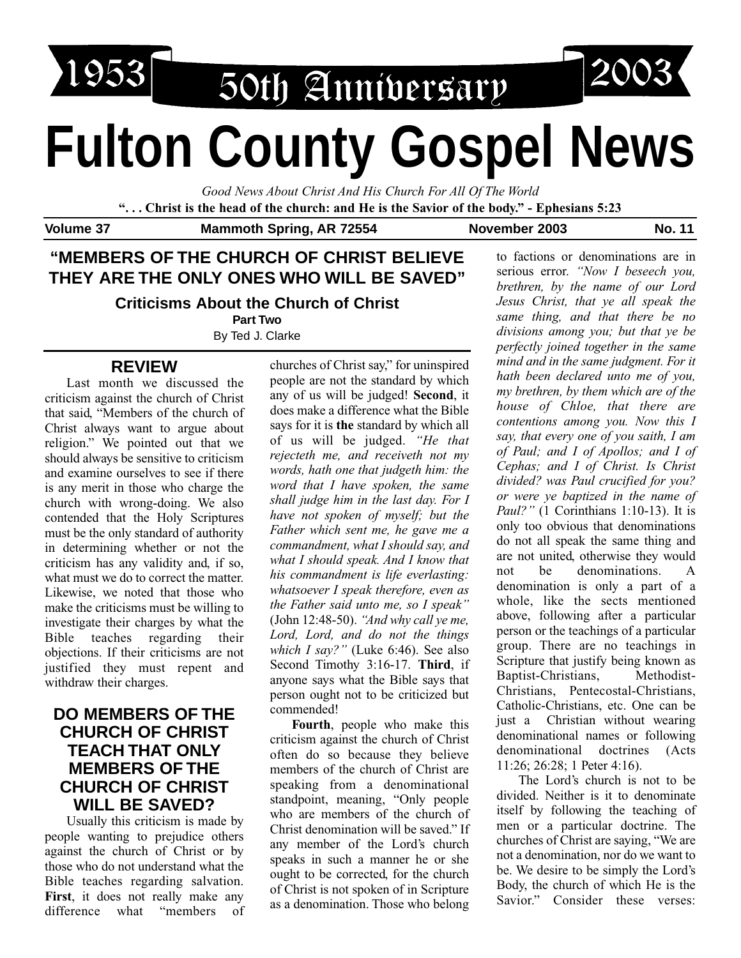

# **Fulton County Gospel News**

*Good News About Christ And His Church For All Of The World*

**". . . Christ is the head of the church: and He is the Savior of the body." - Ephesians 5:23**

Volume 37 Mammoth Spring, AR 72554 November 2003 No. 11

# **"MEMBERS OF THE CHURCH OF CHRIST BELIEVE THEY ARE THE ONLY ONES WHO WILL BE SAVED"**

**Criticisms About the Church of Christ**

**Part Two**

By Ted J. Clarke

# **REVIEW**

Last month we discussed the criticism against the church of Christ that said, "Members of the church of Christ always want to argue about religion." We pointed out that we should always be sensitive to criticism and examine ourselves to see if there is any merit in those who charge the church with wrong-doing. We also contended that the Holy Scriptures must be the only standard of authority in determining whether or not the criticism has any validity and, if so, what must we do to correct the matter. Likewise, we noted that those who make the criticisms must be willing to investigate their charges by what the Bible teaches regarding their objections. If their criticisms are not justified they must repent and withdraw their charges.

# **DO MEMBERS OF THE CHURCH OF CHRIST TEACH THAT ONLY MEMBERS OF THE CHURCH OF CHRIST WILL BE SAVED?**

Usually this criticism is made by people wanting to prejudice others against the church of Christ or by those who do not understand what the Bible teaches regarding salvation. **First**, it does not really make any difference what "members of churches of Christ say," for uninspired people are not the standard by which any of us will be judged! **Second**, it does make a difference what the Bible says for it is **the** standard by which all of us will be judged. *"He that rejecteth me, and receiveth not my words, hath one that judgeth him: the word that I have spoken, the same shall judge him in the last day. For I have not spoken of myself; but the Father which sent me, he gave me a commandment, what I should say, and what I should speak. And I know that his commandment is life everlasting: whatsoever I speak therefore, even as the Father said unto me, so I speak"* (John 12:48-50). *"And why call ye me, Lord, Lord, and do not the things which I say?"* (Luke 6:46). See also Second Timothy 3:16-17. **Third**, if anyone says what the Bible says that person ought not to be criticized but commended!

**Fourth**, people who make this criticism against the church of Christ often do so because they believe members of the church of Christ are speaking from a denominational standpoint, meaning, "Only people who are members of the church of Christ denomination will be saved." If any member of the Lord's church speaks in such a manner he or she ought to be corrected, for the church of Christ is not spoken of in Scripture as a denomination. Those who belong

to factions or denominations are in serious error. *"Now I beseech you, brethren, by the name of our Lord Jesus Christ, that ye all speak the same thing, and that there be no divisions among you; but that ye be perfectly joined together in the same mind and in the same judgment. For it hath been declared unto me of you, my brethren, by them which are of the house of Chloe, that there are contentions among you. Now this I say, that every one of you saith, I am of Paul; and I of Apollos; and I of Cephas; and I of Christ. Is Christ divided? was Paul crucified for you? or were ye baptized in the name of Paul?"* (1 Corinthians 1:10-13). It is only too obvious that denominations do not all speak the same thing and are not united, otherwise they would not be denominations. A denomination is only a part of a whole, like the sects mentioned above, following after a particular person or the teachings of a particular group. There are no teachings in Scripture that justify being known as Baptist-Christians, Methodist-Christians, Pentecostal-Christians, Catholic-Christians, etc. One can be just a Christian without wearing denominational names or following denominational doctrines (Acts 11:26; 26:28; 1 Peter 4:16).

The Lord's church is not to be divided. Neither is it to denominate itself by following the teaching of men or a particular doctrine. The churches of Christ are saying, "We are not a denomination, nor do we want to be. We desire to be simply the Lord's Body, the church of which He is the Savior." Consider these verses: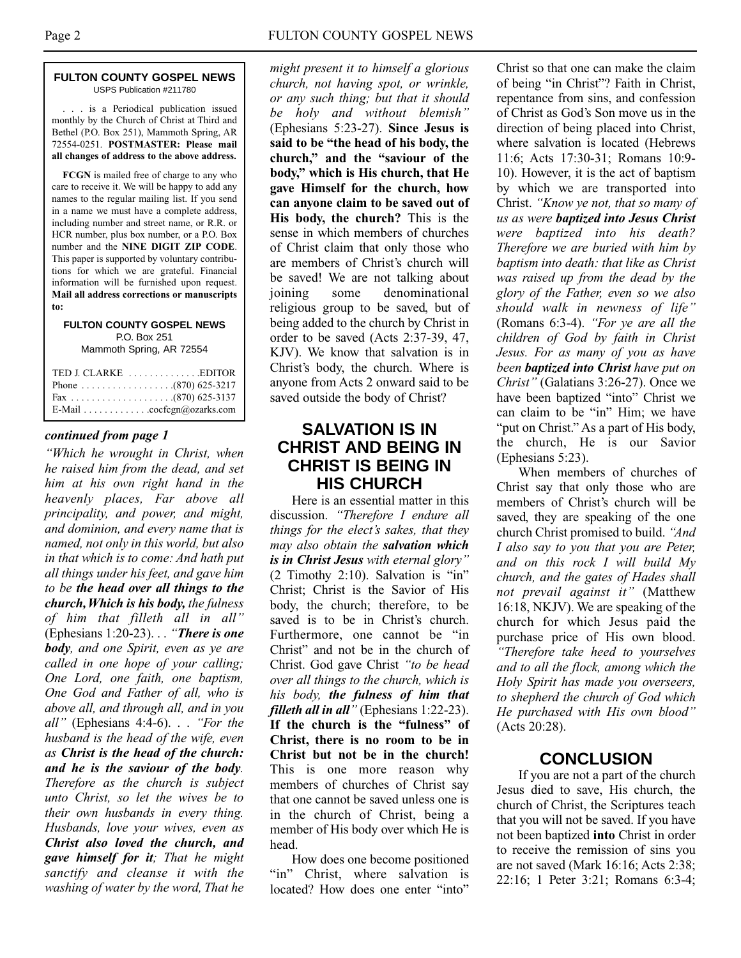#### **FULTON COUNTY GOSPEL NEWS** USPS Publication #211780

. . . is a Periodical publication issued monthly by the Church of Christ at Third and Bethel (P.O. Box 251), Mammoth Spring, AR 72554-0251. **POSTMASTER: Please mail all changes of address to the above address.**

**FCGN** is mailed free of charge to any who care to receive it. We will be happy to add any names to the regular mailing list. If you send in a name we must have a complete address, including number and street name, or R.R. or HCR number, plus box number, or a P.O. Box number and the **NINE DIGIT ZIP CODE**. This paper is supported by voluntary contributions for which we are grateful. Financial information will be furnished upon request. **Mail all address corrections or manuscripts to:**

#### **FULTON COUNTY GOSPEL NEWS** P.O. Box 251 Mammoth Spring, AR 72554

| E-Mail cocfcgn@ozarks.com |  |
|---------------------------|--|

#### *continued from page 1*

*"Which he wrought in Christ, when he raised him from the dead, and set him at his own right hand in the heavenly places, Far above all principality, and power, and might, and dominion, and every name that is named, not only in this world, but also in that which is to come: And hath put all things under his feet, and gave him to be the head over all things to the church,Which is his body, the fulness of him that filleth all in all"* (Ephesians 1:20-23). . . *"There is one body, and one Spirit, even as ye are called in one hope of your calling; One Lord, one faith, one baptism, One God and Father of all, who is above all, and through all, and in you all"* (Ephesians 4:4-6). . . *"For the husband is the head of the wife, even as Christ is the head of the church: and he is the saviour of the body. Therefore as the church is subject unto Christ, so let the wives be to their own husbands in every thing. Husbands, love your wives, even as Christ also loved the church, and gave himself for it; That he might sanctify and cleanse it with the washing of water by the word, That he*

*might present it to himself a glorious church, not having spot, or wrinkle, or any such thing; but that it should be holy and without blemish"* (Ephesians 5:23-27). **Since Jesus is said to be "the head of his body, the church," and the "saviour of the body," which is His church, that He gave Himself for the church, how can anyone claim to be saved out of His body, the church?** This is the sense in which members of churches of Christ claim that only those who are members of Christ's church will be saved! We are not talking about joining some denominational religious group to be saved, but of being added to the church by Christ in order to be saved (Acts 2:37-39, 47, KJV). We know that salvation is in Christ's body, the church. Where is anyone from Acts 2 onward said to be saved outside the body of Christ?

# **SALVATION IS IN CHRIST AND BEING IN CHRIST IS BEING IN HIS CHURCH**

Here is an essential matter in this discussion. *"Therefore I endure all things for the elect's sakes, that they may also obtain the salvation which is in Christ Jesus with eternal glory"* (2 Timothy 2:10). Salvation is "in" Christ; Christ is the Savior of His body, the church; therefore, to be saved is to be in Christ's church. Furthermore, one cannot be "in Christ" and not be in the church of Christ. God gave Christ *"to be head over all things to the church, which is his body, the fulness of him that filleth all in all"* (Ephesians 1:22-23). **If the church is the "fulness" of Christ, there is no room to be in Christ but not be in the church!** This is one more reason why members of churches of Christ say that one cannot be saved unless one is in the church of Christ, being a member of His body over which He is head.

How does one become positioned "in" Christ, where salvation is located? How does one enter "into"

Christ so that one can make the claim of being "in Christ"? Faith in Christ, repentance from sins, and confession of Christ as God's Son move us in the direction of being placed into Christ, where salvation is located (Hebrews 11:6; Acts 17:30-31; Romans 10:9- 10). However, it is the act of baptism by which we are transported into Christ. *"Know ye not, that so many of us as were baptized into Jesus Christ were baptized into his death? Therefore we are buried with him by baptism into death: that like as Christ was raised up from the dead by the glory of the Father, even so we also should walk in newness of life"* (Romans 6:3-4). *"For ye are all the children of God by faith in Christ Jesus. For as many of you as have been baptized into Christ have put on Christ"* (Galatians 3:26-27). Once we have been baptized "into" Christ we can claim to be "in" Him; we have "put on Christ." As a part of His body, the church, He is our Savior (Ephesians 5:23).

When members of churches of Christ say that only those who are members of Christ's church will be saved, they are speaking of the one church Christ promised to build. *"And I also say to you that you are Peter, and on this rock I will build My church, and the gates of Hades shall not prevail against it"* (Matthew 16:18, NKJV). We are speaking of the church for which Jesus paid the purchase price of His own blood. *"Therefore take heed to yourselves and to all the flock, among which the Holy Spirit has made you overseers, to shepherd the church of God which He purchased with His own blood"* (Acts 20:28).

#### **CONCLUSION**

If you are not a part of the church Jesus died to save, His church, the church of Christ, the Scriptures teach that you will not be saved. If you have not been baptized **into** Christ in order to receive the remission of sins you are not saved (Mark 16:16; Acts 2:38; 22:16; 1 Peter 3:21; Romans 6:3-4;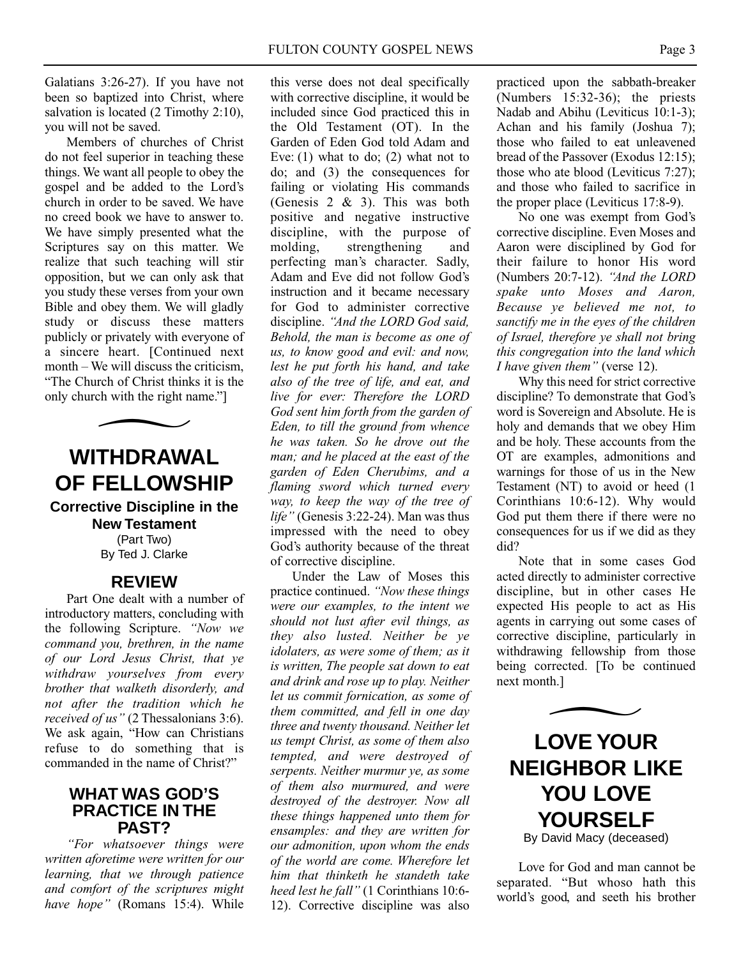Galatians 3:26-27). If you have not been so baptized into Christ, where salvation is located (2 Timothy 2:10), you will not be saved.

Members of churches of Christ do not feel superior in teaching these things. We want all people to obey the gospel and be added to the Lord's church in order to be saved. We have no creed book we have to answer to. We have simply presented what the Scriptures say on this matter. We realize that such teaching will stir opposition, but we can only ask that you study these verses from your own Bible and obey them. We will gladly study or discuss these matters publicly or privately with everyone of a sincere heart. [Continued next month – We will discuss the criticism, "The Church of Christ thinks it is the only church with the right name."]

**WITHDRAWAL OF FELLOWSHIP Corrective Discipline in the New Testament** (Part Two) By Ted J. Clarke

### **REVIEW**

Part One dealt with a number of introductory matters, concluding with the following Scripture. *"Now we command you, brethren, in the name of our Lord Jesus Christ, that ye withdraw yourselves from every brother that walketh disorderly, and not after the tradition which he received of us"* (2 Thessalonians 3:6). We ask again, "How can Christians refuse to do something that is commanded in the name of Christ?"

## **WHAT WAS GOD'S PRACTICE IN THE PAST?**

*"For whatsoever things were written aforetime were written for our learning, that we through patience and comfort of the scriptures might have hope"* (Romans 15:4). While

this verse does not deal specifically with corrective discipline, it would be included since God practiced this in the Old Testament (OT). In the Garden of Eden God told Adam and Eve: (1) what to do; (2) what not to do; and (3) the consequences for failing or violating His commands (Genesis 2 & 3). This was both positive and negative instructive discipline, with the purpose of molding, strengthening and perfecting man's character. Sadly, Adam and Eve did not follow God's instruction and it became necessary for God to administer corrective discipline. *"And the LORD God said, Behold, the man is become as one of us, to know good and evil: and now, lest he put forth his hand, and take also of the tree of life, and eat, and live for ever: Therefore the LORD God sent him forth from the garden of Eden, to till the ground from whence he was taken. So he drove out the man; and he placed at the east of the garden of Eden Cherubims, and a flaming sword which turned every way, to keep the way of the tree of life"* (Genesis 3:22-24). Man was thus impressed with the need to obey God's authority because of the threat of corrective discipline.

Under the Law of Moses this practice continued. *"Now these things were our examples, to the intent we should not lust after evil things, as they also lusted. Neither be ye idolaters, as were some of them; as it is written, The people sat down to eat and drink and rose up to play. Neither let us commit fornication, as some of them committed, and fell in one day three and twenty thousand. Neither let us tempt Christ, as some of them also tempted, and were destroyed of serpents. Neither murmur ye, as some of them also murmured, and were destroyed of the destroyer. Now all these things happened unto them for ensamples: and they are written for our admonition, upon whom the ends of the world are come. Wherefore let him that thinketh he standeth take heed lest he fall"* (1 Corinthians 10:6- 12). Corrective discipline was also

practiced upon the sabbath-breaker (Numbers 15:32-36); the priests Nadab and Abihu (Leviticus 10:1-3); Achan and his family (Joshua 7); those who failed to eat unleavened bread of the Passover (Exodus 12:15); those who ate blood (Leviticus 7:27); and those who failed to sacrifice in the proper place (Leviticus 17:8-9).

No one was exempt from God's corrective discipline. Even Moses and Aaron were disciplined by God for their failure to honor His word (Numbers 20:7-12). *"And the LORD spake unto Moses and Aaron, Because ye believed me not, to sanctify me in the eyes of the children of Israel, therefore ye shall not bring this congregation into the land which I have given them"* (verse 12).

Why this need for strict corrective discipline? To demonstrate that God's word is Sovereign and Absolute. He is holy and demands that we obey Him and be holy. These accounts from the OT are examples, admonitions and warnings for those of us in the New Testament (NT) to avoid or heed (1 Corinthians 10:6-12). Why would God put them there if there were no consequences for us if we did as they did?

Note that in some cases God acted directly to administer corrective discipline, but in other cases He expected His people to act as His agents in carrying out some cases of corrective discipline, particularly in withdrawing fellowship from those being corrected. [To be continued next month.]



Love for God and man cannot be separated. "But whoso hath this world's good, and seeth his brother